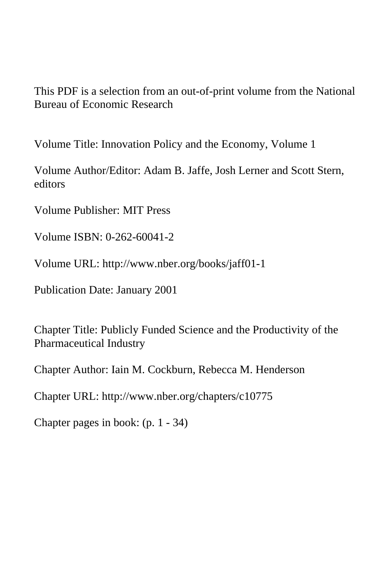This PDF is a selection from an out-of-print volume from the National Bureau of Economic Research

Volume Title: Innovation Policy and the Economy, Volume 1

Volume Author/Editor: Adam B. Jaffe, Josh Lerner and Scott Stern, editors

Volume Publisher: MIT Press

Volume ISBN: 0-262-60041-2

Volume URL: http://www.nber.org/books/jaff01-1

Publication Date: January 2001

Chapter Title: Publicly Funded Science and the Productivity of the Pharmaceutical Industry

Chapter Author: Iain M. Cockburn, Rebecca M. Henderson

Chapter URL: http://www.nber.org/chapters/c10775

Chapter pages in book: (p. 1 - 34)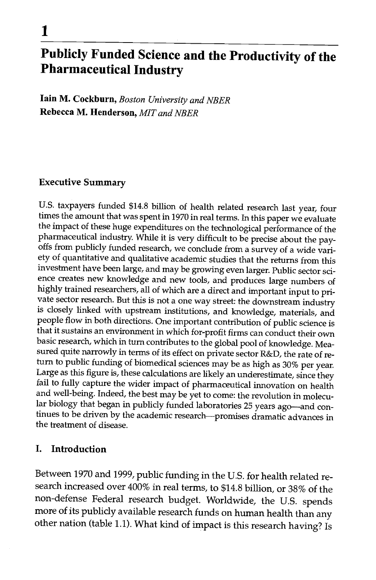# Publicly Funded Science and the Productivity of the Pharmaceutical Industry

lain M. Cockburn, Boston University and NBER Rebecca M. Henderson, MIT and NBER

### Executive Summary

U.S. taxpayers funded \$14.8 billion of health related research last year, four times the amount that was spent in 1970 in real terms. In this paper we evaluate the impact of these huge expenditures on the technological performance of the pharmaceutical industry. While it is very difficult to be precise about the payoffs from publicly funded research, we conclude from a survey of a wide vari-<br>ety of quantitative and qualitative academic studies that the returns from this investment have been large, and may be growing even larger. Public sector science creates new knowledge and new tools, and produces large numbers of highly trained researchers, all of which are a direct and important input to private sector research. But this is not a one way street: the downstream industry is closely linked with upstream institutions, and knowledge, materials, and people flow in both directions. One important contribution of public science is that it sustains an environment in which for-profit firms can conduct their own basic research, which in turn contributes to the global pool of knowledge. Measured quite narrowly in terms of its effect on private sector R&D, the rate of re-<br>turn to public funding of biomedical sciences may be as high as 30% per year. Large as this figure is, these calculations are likely an underestimate, since they fail to fully capture the wider impact of pharmaceutical innovation on health and well-being. Indeed, the best may be yet to come: the revolution in molecular biology that began in publicly funded laboratories 25 years ago—and continues to be driven by the academic research---promises dramatic advances in the treatment of disease.

## I. Introduction

Between 1970 and 1999, public funding in the U.S. for health related research increased over 400% in real terms, to \$14.8 billion, or 38% of the non-defense Federal research budget. Worldwide, the U.S. spends more of its publicly available research funds on human health than any other nation (table 1.1). What kind of impact is this research having? Is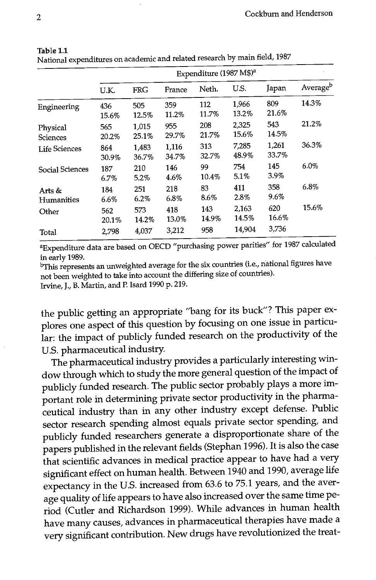|                        |              |                |                | Expenditure (1987 M\$) <sup>a</sup> |                |                |          |
|------------------------|--------------|----------------|----------------|-------------------------------------|----------------|----------------|----------|
|                        | U.K.         | <b>FRG</b>     | France         | Neth.                               | U.S.           | Japan          | Averageb |
| Engineering            | 436<br>15.6% | 505<br>12.5%   | 359<br>11.2%   | 112<br>11.7%                        | 1,966<br>13.2% | 809<br>21.6%   | 14.3%    |
| Physical<br>Sciences   | 565<br>20.2% | 1.015<br>25.1% | 955<br>29.7%   | 208<br>21.7%                        | 2,325<br>15.6% | 543<br>14.5%   | 21.2%    |
| Life Sciences          | 864<br>30.9% | 1.483<br>36.7% | 1,116<br>34.7% | 313<br>32.7%                        | 7.285<br>48.9% | 1,261<br>33.7% | 36.3%    |
| <b>Social Sciences</b> | 187<br>6.7%  | 210<br>5.2%    | 146<br>4.6%    | 99<br>10.4%                         | 754<br>5.1%    | 145<br>3.9%    | 6.0%     |
| Arts &<br>Humanities   | 184<br>6.6%  | 251<br>6.2%    | 218<br>6.8%    | 83<br>8.6%                          | 411<br>2.8%    | 358<br>9.6%    | 6.8%     |
| Other                  | 562<br>20.1% | 573<br>14.2%   | 418<br>13.0%   | 143<br>14.9%                        | 2,163<br>14.5% | 620<br>16.6%   | 15.6%    |
| Total                  | 2,798        | 4.037          | 3,212          | 958                                 | 14,904         | 3,736          |          |

Table 1.1 National expenditures on academic and related research by main field, 1987

aExpenditure data are based on OECD "purchasing power parities" for 1987 calculated

in early 1989.<br><sup>b</sup>This represents an unweighted average for the six countries (i.e., national figures have not been weighted to take into account the differing size of countries).

Irvine, J., B. Martin, and P. Isard 1990 p. 219.

the public getting an appropriate "bang for its buck"? This paper explores one aspect of this question by focusing on one issue in particular: the impact of publicly funded research on the productivity of the U.S. pharmaceutical industry.

The pharmaceutical industry provides a particularly interesting window through which to study the more general question of the impact of publicly funded research. The public sector probably plays a more important role in determining private sector productivity in the pharmaceutical industry than in any other industry except defense. Public sector research spending almost equals private sector spending, and publicly funded researchers generate a disproportionate share of the papers published in the relevant fields (Stephan 1996). It is also the case that scientific advances in medical practice appear to have had a very significant effect on human health. Between 1940 and 1990, average life expectancy in the U.S. increased from 63.6 to 75.1 years, and the average quality of life appears to have also increased over the same time period (Cutler and Richardson 1999). While advances in human health have many causes, advances in pharmaceutical therapies have made a very significant contribution. New drugs have revolutionized the treat-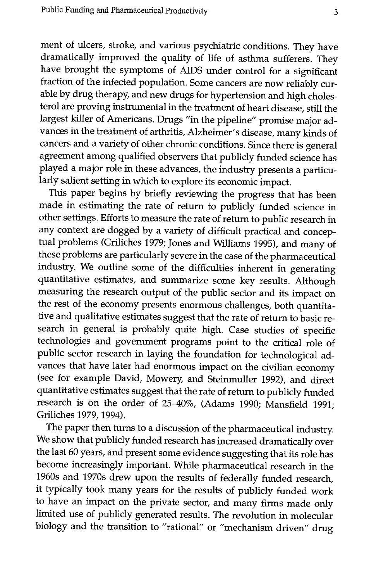ment of ulcers, stroke, and various psychiatric conditions. They have dramatically improved the quality of life of asthma sufferers. They have brought the symptoms of AIDS under control for a significant fraction of the infected population. Some cancers are now reliably curable by drug therapy, and new drugs for hypertension and high cholesterol are proving instrumental in the treatment of heart disease, still the largest killer of Americans. Drugs "in the pipeline" promise major advances in the treatment of arthritis, Alzheimer's disease, many kinds of cancers and a variety of other chronic conditions. Since there is general agreement among qualified observers that publicly funded science has played a major role in these advances, the industry presents a particularly salient setting in which to explore its economic impact.

This paper begins by briefly reviewing the progress that has been made in estimating the rate of return to publicly funded science in other settings. Efforts to measure the rate of return to public research in any context are dogged by a variety of difficult practical and conceptual problems (Griliches 1979; Jones and Williams 1995), and many of these problems are particularly severe in the case of the pharmaceutical industry. We outline some of the difficulties inherent in generating quantitative estimates, and summarize some key results. Although measuring the research output of the public sector and its impact on the rest of the economy presents enormous challenges, both quantitative and qualitative estimates suggest that the rate of return to basic research in general is probably quite high. Case studies of specific technologies and government programs point to the critical role of public sector research in laying the foundation for technological advances that have later had enormous impact on the civilian economy (see for example David, Mowery, and Steinmuller 1992), and direct quantitative estimates suggest that the rate of return to publicly funded research is on the order of 25-40%, (Adams 1990; Mansfield 1991; Griliches 1979, 1994).

The paper then turns to a discussion of the pharmaceutical industry We show that publicly funded research has increased dramatically over the last 60 years, and present some evidence suggesting that its role has become increasingly important. While pharmaceutical research in the 1960s and 1970s drew upon the results of federally funded research, it typically took many years for the results of publicly funded work to have an impact on the private sector, and many firms made only limited use of publicly generated results. The revolution in molecular biology and the transition to "rational" or "mechanism driven" drug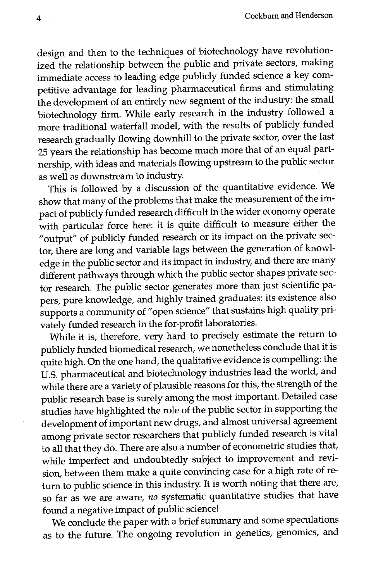design and then to the techniques of biotechnology have revolutionized the relationship between the public and private sectors, making immediate access to leading edge publicly funded science a key competitive advantage for leading pharmaceutical firms and stimulating the development of an entirely new segment of the industry: the small biotechnology firm. While early research in the industry followed a more traditional waterfall model, with the results of publicly funded research gradually flowing downhill to the private sector, over the last 25 years the relationship has become much more that of an equal partnership, with ideas and materials flowing upstream to the public sector as well as downstream to industry.

This is followed by a discussion of the quantitative evidence. We show that many of the problems that make the measurement of the impact of publicly funded research difficult in the wider economy operate with particular force here: it is quite difficult to measure either the "output" of publicly funded research or its impact on the private sector, there are long and variable lags between the generation of knowledge in the public sector and its impact in industry, and there are many different pathways through which the public sector shapes private sector research. The public sector generates more than just scientific papers, pure knowledge, and highly trained graduates: its existence also supports a community of "open science" that sustains high quality privately funded research in the for-profit laboratories.

While it is, therefore, very hard to precisely estimate the return to publicly funded biomedical research, we nonetheless conclude that it is quite high. On the one hand, the qualitative evidence is compelling: the U.S. pharmaceutical and biotechnology industries lead the world, and while there are a variety of plausible reasons for this, the strength of the public research base is surely among the most important. Detailed case studies have highlighted the role of the public sector in supporting the development of important new drugs, and almost universal agreement among private sector researchers that publicly funded research is vital to all that they do. There are also a number of econometric studies that, while imperfect and undoubtedly subject to improvement and revision, between them make a quite convincing case for a high rate of return to public science in this industry. It is worth noting that there are, so far as we are aware, no systematic quantitative studies that have found a negative impact of public science!

We conclude the paper with a brief summary and some speculations as to the future. The ongoing revolution in genetics, genomics, and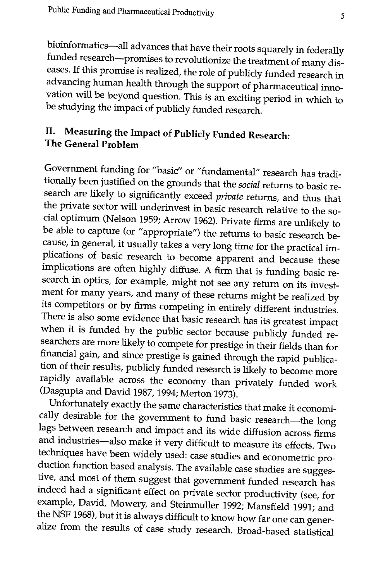bioinformatics—all advances that have their roots squarely in federally<br>funded research—promises to revolutionize the treatment of many diseases. If this promise is realized, the role of publicly funded research in advancing human health through the support of pharmaceutical innovation will be beyond question. This is an exciting period in which to be studying the impact of publicly funded research.

## II. Measuring the Impact of Publicly Funded Research: The General Problem

Government funding for "basic" or "fundamental" research has tradi-<br>tionally been justified on the grounds that the *social* returns to basic rethe grounds are likely to significantly exceed *private* returns, and thus that the private sector will underinvest in basic research relative to the social optimum (Nelson 1959; Arrow 1962). Private firms are unlikely to be able to capture (or "appropriate") the returns to basic research be-<br>cause, in general, it usually takes a very long time for the practical implications of basic research to become apparent and because these implications are often highly diffuse. A firm that is funding basic research in optics, for example, might not see any return on its investment for many years, and many of these returns might be realized by its competitors or by firms competing in entirely different industries. There is also some evidence that basic research has its greatest impact when it is funded by the public sector because publicly funded researchers are more likely to compete for prestige in their fields than for financial gain, and since prestige is gained through the rapid publicarapidly available across the economy than privately funded work (Dasgupta and David 1987, 1994; Merton 1973).

Unfortunately exactly the same characteristics that make it economically desirable for the government to fund basic research-the long lags between research and impact and its wide diffusion across firms and industries—also make it very difficult to measure its effects. Two<br>techniques have been widely used: case studies and econometric production function based analysis. The available case studies are suggestive, and most of them suggest that government funded research has indeed had a significant effect on private sector productivity (see, for example, David, Mowery, and Steinmuller 1992; Mansfield 1991; and<br>the NSF 1968), but it is always difficult to know how far one can generalize from the results of case study research. Broad-based statistical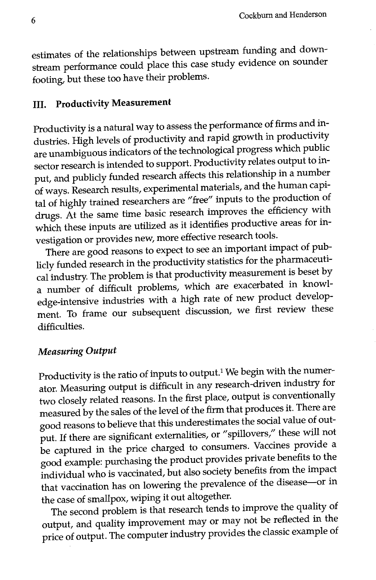estimates of the relationships between upstream funding and downstream performance could place this case study evidence on sounder footing, but these too have their problems.

## III. Productivity Measurement

Productivity is a natural way to assess the performance of firms and industries. High levels of productivity and rapid growth in productivity are unambiguous indicators of the technological progress which public sector research is intended to support. Productivity relates output to input, and publicly funded research affects this relationship in a number of ways. Research results, experimental materials, and the human capital of highly trained researchers are "free" inputs to the production of drugs. At the same time basic research improves the efficiency with which these inputs are utilized as it identifies productive areas for investigation or provides new, more effective research tools.

There are good reasons to expect to see an important impact of publicly funded research in the productivity statistics for the pharmaceutical industry. The problem is that productivity measurement is beset by a number of difficult problems, which are exacerbated in knowledge-intensive industries with a high rate of new product development. To frame our subsequent discussion, we first review these difficulties.

## Measuring Output

Productivity is the ratio of inputs to output.1 We begin with the numerator. Measuring output is difficult in any research-driven industry for two closely related reasons. In the first place, output is conventionally measured by the sales of the level of the firm that produces it. There are good reasons to believe that this underestimates the social value of output. If there are significant externalities, or "spillovers," these will not be captured in the price charged to consumers. Vaccines provide a good example: purchasing the product provides private benefits to the individual who is vaccinated, but also society benefits from the impact that vaccination has on lowering the prevalence of the disease-or in the case of smallpox, wiping it out altogether.

The second problem is that research tends to improve the quality of output, and quality improvement may or may not be reflected in the price of output. The computer industry provides the classic example of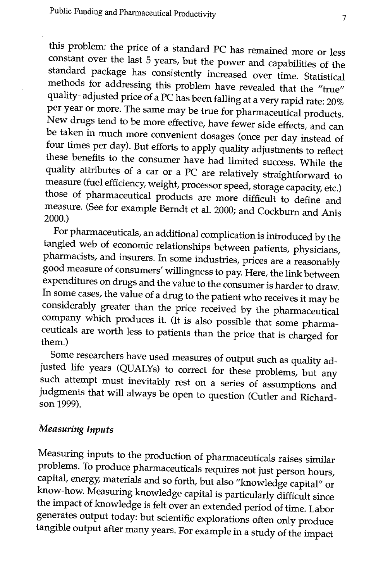this problem: the price of a standard PC has remained more or less constant over the last 5 years, but the power and capabilities of the standard package has consistently increased over time. Statistical methods for addressing this problem have revealed that the "true" quality-adjusted price of a PC has been falling at a very rapid rate: 20% per year or more. The same may be true for pharmaceutical products.<br>New drugs tend to be more effective, have fewer side effects, and can<br>be taken in much more convenient dosages (once per day instead of<br>four times per day these benefits to the consumer have had limited success. While the quality attributes of a car or a PC are relatively straightforward to measure (fuel efficiency, weight, processor speed, storage capacity, etc.) those of pharmaceutical products are more difficult to define and measure. (See for example Berndt et al. 2000; and Cockburn and Anis 2000.)

For pharmaceuticals, an additional complication is introduced by the tangled web of economic relationships between patients, physicians, pharmacists, and insurers. In some industries, prices are a reasonably good measure of consumers' willingness to pay. Here, the link between In some cases, the value of a drug to the patient who receives it may be considerably greater than the price received by the pharmaceutical company which produces it. (It is also possible that some pharmaceuticals are worth less to patients than the price that is charged for them.)

Some researchers have used measures of output such as quality adjusted life years (QUALYs) to correct for these problems, but any such attempt must inevitably rest on a series of assumptions and judgments that will always be open to question (Cutler and Richard- son 1999).

#### Measuring Inputs

Measuring inputs to the production of pharmaceuticals raises similar<br>problems. To produce pharmaceuticals requires not just person hours,<br>capital, energy, materials and so forth, but also "knowledge capital" or<br>know-how. M generates output today: but scientific explorations often only produce tangible output after many years. For example in a study of the impact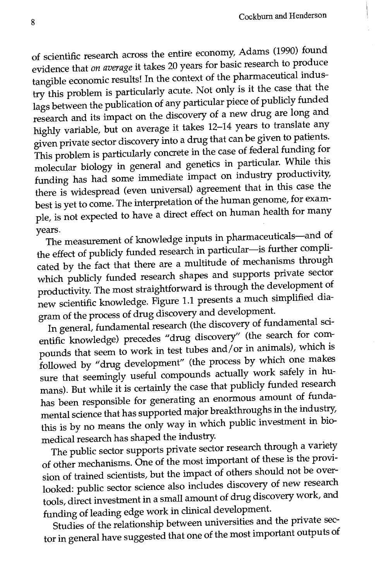of scientific research across the entire economy, Adams (1990) found evidence that on average it takes 20 years for basic research to produce tangible economic results! In the context of the pharmaceutical industry this problem is particularly acute. Not only is it the case that the lags between the publication of any particular piece of publicly funded research and its impact on the discovery of a new drug are long and highly variable, but on average it takes 12-14 years to translate any given private sector discovery into a drug that can be given to patients. This problem is particularly concrete in the case of federal funding for molecular biology in general and genetics in particular. While this funding has had some immediate impact on industry productivity there is widespread (even universal) agreement that in this case the best is yet to come. The interpretation of the human genome, for example, is not expected to have a direct effect on human health for many

years.<br>The measurement of knowledge inputs in pharmaceuticals—and of the effect of publicly funded research in particular-is further complicated by the fact that there are a multitude of mechanisms through which publicly funded research shapes and supports private sector productivity. The most straightforward is through the development of new scientific knowledge. Figure 1.1 presents a much simplified diagram of the process of drug discovery and development.

In general, fundamental research (the discovery of fundamental scientific knowledge) precedes "drug discovery" (the search for compounds that seem to work in test tubes and/or in animals), which is followed by "drug development" (the process by which one makes sure that seemingly useful compounds actually work safely in humans). But while it is certainly the case that publicly funded research has been responsible for generating an enormous amount of fundamental science that has supported major breakthroughs in the industry, this is by no means the only way in which public investment in biomedical research has shaped the industry.

The public sector supports private sector research through a variety of other mechanisms. One of the most important of these is the provision of trained scientists, but the impact of others should not be overlooked: public sector science also includes discovery of new research tools, direct investment in a small amount of drug discovery work, and funding of leading edge work in clinical development.

Studies of the relationship between universities and the private sector in general have suggested that one of the most important outputs of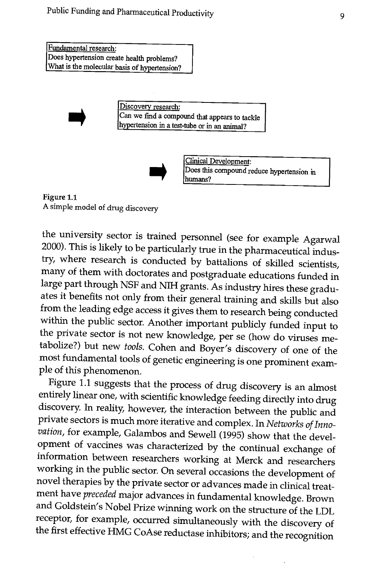Fundamental research: Does hypertension create health problems? What is the molecular basis of hypertension?



Discovery research:<br>Can we find a compound that appears to<br>hypertension in a test-tube or in an anima Discovery research: Can we find a compound that appears to tackle hypertension in a test-tube or in an animal?



Clinical Development:<br>Does this compound reduce hypertension in<br>humans? Clinical Development: Does this compound reduce hypertension in humans?

Figure 1.1 A simple model of drug discovery

the university sector is trained personnel (see for example Agarwal 2000). This is likely to be particularly true in the pharmaceutical industry, where research is conducted by battalions of skilled scientists, many of them with doctorates and postgraduate educations funded in large part through NSF and NIH grants. As industry hires these graduates it benefits not only from their general training and skills but also from the leading edge access it gives them to research being conducted within the public sector. Another important publicly funded input to the private sector is not new knowledge, per se (how do viruses metabolize?) but new tools. Cohen and Boyer's discovery of one of the most fundamental tools of genetic engineering is one prominent exam- ple of this phenomenon.

Figure 1.1 suggests that the process of drug discovery is an almost entirely linear one, with scientific knowledge feeding directly into drug discovery. In reality, however, the interaction between the public and private sectors is much more iterative and complex. In Networks of Innovation, for example, Galambos and Sewell (1995) show that the development of vaccines was characterized by the continual exchange of information between researchers working at Merck and researchers working in the public sector. On several occasions the development of novel therapies by the private sector or advances made in clinical treatment have preceded major advances in fundamental knowledge. Brown and Goldstein's Nobel Prize winning work on the structure of the LDL receptor, for example, occurred simultaneously with the discovery of the first effective HMG CoAse reductase inhibitors; and the recognition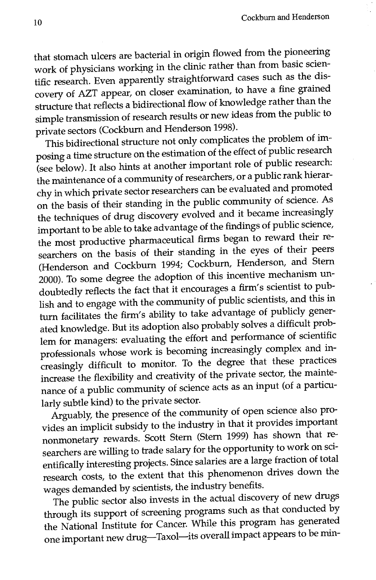that stomach ulcers are bacterial in origin flowed from the pioneering work of physicians working in the clinic rather than from basic scientific research. Even apparently straightforward cases such as the discovery of AZT appear, on closer examination, to have a fine grained structure that reflects a bidirectional flow of knowledge rather than the simple transmission of research results or new ideas from the public to private sectors (Cockburn and Henderson 1998).

This bidirectional structure not only complicates the problem of imposing a time structure on the estimation of the effect of public research (see below). It also hints at another important role of public research: the maintenance of a community of researchers, or a public rank hierarchy in which private sector researchers can be evaluated and promoted on the basis of their standing in the public community of science. As the techniques of drug discovery evolved and it became increasingly important to be able to take advantage of the findings of public science, the most productive pharmaceutical firms began to reward their researchers on the basis of their standing in the eyes of their peers (Henderson and Cockburn 1994; Cockburn, Henderson, and Stern 2000). To some degree the adoption of this incentive mechanism undoubtedly reflects the fact that it encourages a firm's scientist to publish and to engage with the community of public scientists, and this in turn facilitates the firm's ability to take advantage of publicly generated knowledge. But its adoption also probably solves a difficult problem for managers: evaluating the effort and performance of scientific professionals whose work is becoming increasingly complex and increasingly difficult to monitor. To the degree that these practices increase the flexibility and creativity of the private sector, the maintenance of a public community of science acts as an input (of a particularly subtle kind) to the private sector.

Arguably, the presence of the community of open science also provides an implicit subsidy to the industry in that it provides important nonmonetary rewards. Scott Stern (Stern 1999) has shown that researchers are willing to trade salary for the opportunity to work on scientifically interesting projects. Since salaries are a large fraction of total research costs, to the extent that this phenomenon drives down the wages demanded by scientists, the industry benefits.

The public sector also invests in the actual discovery of new drugs through its support of screening programs such as that conducted by the National Institute for Cancer. While this program has generated one important new drug-Taxol-its overall impact appears to be min-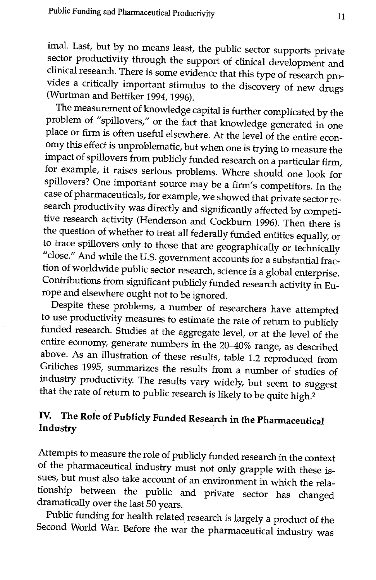imal. Last, but by no means least, the public sector supports private sector productivity through the support of clinical development and clinical research. There is some evidence that this type of research provides a critically important stimulus to the discovery of new drugs (Wurtman and Bettiker 1994, 1996).

problem of "spillovers," or the fact that knowledge generated in one place or firm is often useful elsewhere. At the level of the entire economy this effect is unproblematic, but when one is trying to measure the impact of spillovers from publicly funded research on a particular firm, for example, it raises serious problems. Where should one look for spillovers? One important source may be a firm's competitors. In the case of pharmaceuticals, for example, we showed that private sector research productivity was directly and significantly affected by competitive research activity (Henderson and Cockburn 1996). Then there is the question of whether to treat all federally funded entities equally, or to trace spillovers only to those that are geographically or technically "close." And while the U.S. government accounts for a substantial frac-<br>tion of worldwide public sector research, science is a global enterprise. Contributions from significant publicly funded research activity in Europe and elsewhere ought not to be ignored.

Despite these problems, a number of researchers have attempted to use productivity measures to estimate the rate of return to publicly funded research. Studies at the aggregate level, or at the level of the entire economy, generate numbers in the 20-40% range, as described above. As an illustration of these results, table 1.2 reproduced from Grifiches 1995, summarizes the results from a number of studies of industry productivity. The results vary widely, but seem to suggest that the rate of return to public research is likely to be quite high.<sup>2</sup>

## IV. The Role of Publicly Funded Research in the Pharmaceutical Industry

Attempts to measure the role of publicly funded research in the context sues, but must also take account of an environment in which the relationship between the public and private sector has changed dramatically over the last 50 years.<br>Public funding for health related research is largely a product of the

Second World War. Before the war the pharmaceutical industry was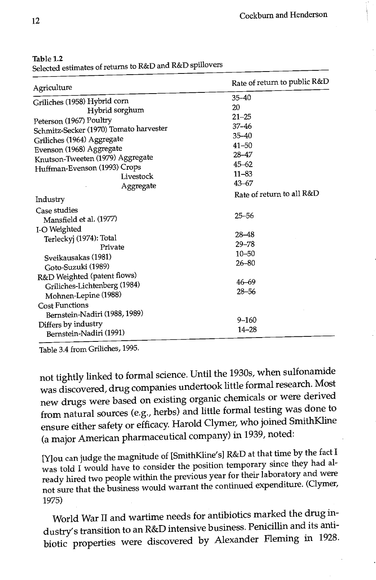| Agriculture                            | Rate of return to public R&D |
|----------------------------------------|------------------------------|
| Griliches (1958) Hybrid corn           | 35-40                        |
| Hybrid sorghum                         | 20                           |
| Peterson (1967) Poultry                | $21 - 25$                    |
| Schmitz-Secker (1970) Tomato harvester | $37 - 46$                    |
| Griliches (1964) Aggregate             | $35 - 40$                    |
| Evenson (1968) Aggregate               | $41 - 50$                    |
| Knutson-Tweeten (1979) Aggregate       | 28-47                        |
| Huffman-Evenson (1993) Crops           | $45 - 62$                    |
| Livestock                              | $11 - 83$                    |
| Aggregate                              | $43 - 67$                    |
| Industry                               | Rate of return to all R&D    |
| Case studies                           |                              |
| Mansfield et al. (1977)                | $25 - 56$                    |
| I-O Weighted                           |                              |
| Terleckyj (1974): Total                | $28 - 48$                    |
| Private                                | $29 - 78$                    |
| Sveikausakas (1981)                    | $10 - 50$                    |
| Goto-Suzuki (1989)                     | $26 - 80$                    |
| R&D Weighted (patent flows)            | $46 - 69$                    |
| Griliches-Lichtenberg (1984)           | $28 - 56$                    |
| Mohnen-Lepine (1988)                   |                              |
| <b>Cost Functions</b>                  |                              |
| Bernstein-Nadiri (1988, 1989)          | $9 - 160$                    |
| Differs by industry                    | $14 - 28$                    |
| Bernstein-Nadiri (1991)                |                              |

Table 1.2 Selected estimates of returns to R&D and R&D spillovers

Table 3.4 from Griliches, 1995.

not tightly linked to formal science. Until the 1930s, when sulfonamide was discovered, drug companies undertook little formal research. Most new drugs were based on existing organic chemicals or were derived from natural sources (e.g., herbs) and little formal testing was done to ensure either safety or efficacy. Harold Clymer, who joined SmithKline (a major American pharmaceutical company) in 1939, noted:

[YIlou can judge the magnitude of [SmithKline'sI R&D at that time by the fact I was told I would have to consider the position temporary since they had already hired two people within the previous year for their laboratory and were not sure that the business would warrant the continued expenditure. (Clymer, 1975)

World War II and wartime needs for antibiotics marked the drug industry's transition to an R&D intensive business. Penicillin and its antibiotic properties were discovered by Alexander Fleming in 1928.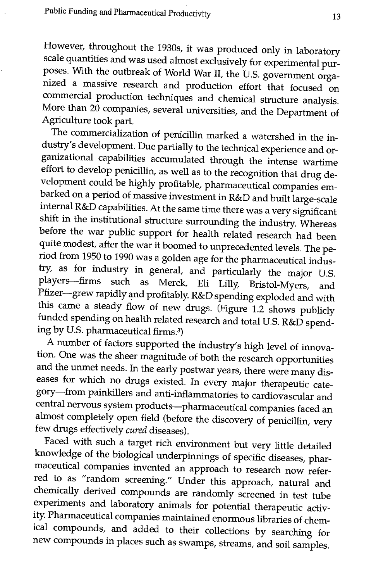However, throughout the 1930s, it was produced only in laboratory<br>scale quantities and was used almost exclusively for experimental purposes. With the outbreak of World War II, the U.S. government organized a massive research and production effort that focused on commercial production techniques and chemical structure analysis. More than 20 companies, several universities, and the Department of Agriculture took part.

The commercialization of penicillin marked a watershed in the industry's development. Due partially to the technical experience and organizational capabilities accumulated through the intense wartime effort to develop penicillin, as well as to the recognition that drug development could be highly profitable, pharmaceutical companies embarked on a period of massive investment in R&D and built large-scale<br>internal R&D capabilities. At the same time there was a very significant shift in the institutional structure surrounding the industry. Whereas before the war public support for health related research had been quite modest, after the war it boomed to unprecedented levels. The period from 1950 to 1990 was a golden age for the pharmaceutical industry, as for industry in general, and particularly the major U.S.<br>players—firms such as Merck, Eli Lilly, Bristol-Myers, and Pfizer-grew rapidly and profitably. R&D spending exploded and with this came a steady flow of new drugs. (Figure 1.2 shows publicly funded spending on health related research and total U.S. R&D spending by U.S. pharmaceutical firms.3)

A number of factors supported the industry's high level of innovation. One was the sheer magnitude of both the research opportunities<br>and the unmet needs. In the early postwar years, there were many diseases for which no drugs existed. In every major therapeutic category—from painkillers and anti-inflammatories to cardiovascular and central nervous system products-pharmaceutical companies faced an almost completely open field (before the discovery of penicillin, very few drugs effectively cured diseases).

Faced with such a target rich environment but very little detailed maceutical companies invented an approach to research now refer- red to as "random screening." Under this approach, natural and chemically derived compounds are randomly screened in test tube experiments and laboratory animals for potential therapeutic activity. Pharmaceutical companies maintained enormous libraries of chemical compounds, and added to their collections by searching for new compounds in places such as swamps, streams, and soil samples.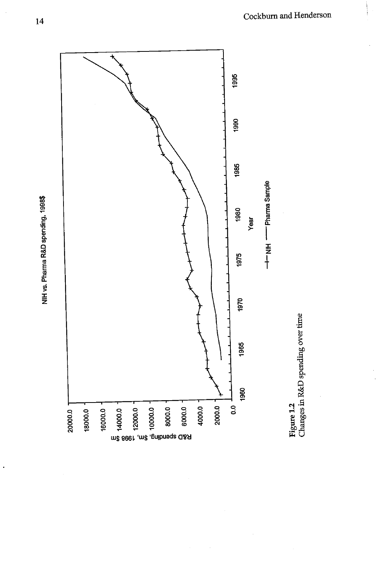

 $14$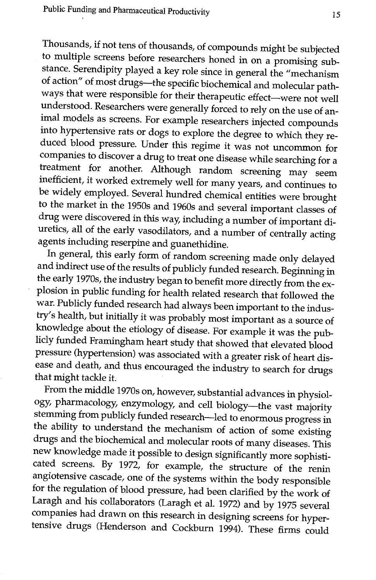Thousands, if not tens of thousands, of compounds might be subjected stance. Serendipity played a key role since in general the "mechanism<br>of action" of most drugs—the specific biochemical and molecular pathways that were responsible for their therapeutic effect- were not well understood. Researchers were generally forced to rely on the use of animal models as screens. For example researchers injected compounds into hypertensive rats or dogs to explore the degree to which they reduced blood pressure. Under this regime it was not uncommon for companies to discover a drug to treat one disease while searching for a treatment for another. Although random screening may seem inefficient, it worked extremely well for many years, and continues to be widely employed. Several hundred chemical entities were brought drug were discovered in this way, including a number of important di-<br>uretics, all of the early vasodilators, and a number of centrally acting agents including reserpine and guanethidine.

In general, this early form of random screening made only delayed and indirect use of the results of publicly funded research. Beginning in the early 1970s, the industry began to benefit more directly from the explosion in public funding for health related research that followed the war. Publicly funded research had always been important to the industry's health, but initially it was probably most important as a source of knowledge about the etiology of disease. For example it was the publicly funded Framingham heart study that showed that elevated blood<br>pressure (hypertension) was associated with a greater risk of heart disease and death, and thus encouraged the industry to search for drugs that might tackle it.

From the middle 1970s on, however, substantial advances in physiology, pharmacology, enzymology, and cell biology—the vast majority<br>stemming from publicly funded research—led to enormous progress in the ability to understand the mechanism of action of some existing drugs and the biochemical and molecular roots of many diseases. This cated screens. By 1972, for example, the structure of the renin angiotensive cascade, one of the systems within the body responsible<br>for the regulation of blood pressure, had been clarified by the work of Laragh and his collaborators (Laragh et al. 1972) and by 1975 several companies had drawn on this research in designing screens for hypertensive drugs (Henderson and Cockburn 1994). These firms could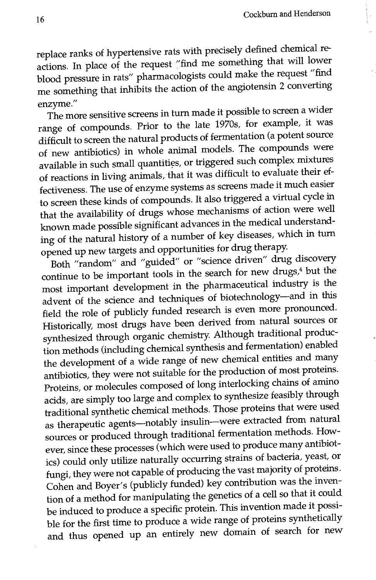replace ranks of hypertensive rats with precisely defined chemical reactions. In place of the request "find me something that will lower blood pressure in rats" pharmacologists could make the request "find me something that inhibits the action of the angiotensin 2 converting

enzyme." The more sensitive screens in turn made it possible to screen a wider range of compounds. Prior to the late 1970s, for example, it was difficult to screen the natural products of fermentation (a potent source of new antibiotics) in whole animal models. The compounds were available in such small quantities, or triggered such complex mixtures of reactions in living animals, that it was difficult to evaluate their effectiveness. The use of enzyme systems as screens made it much easier to screen these kinds of compounds. It also triggered a virtual cycle in that the availability of drugs whose mechanisms of action were well known made possible significant advances in the medical understanding of the natural history of a number of key diseases, which in turn opened up new targets and opportunities for drug therapy.

Both "random" and "guided" or "science driven" drug discovery continue to be important tools in the search for new drugs,<sup>4</sup> but the most important development in the pharmaceutical industry is the advent of the science and techniques of biotechnology—and in this field the role of publicly funded research is even more pronounced. Historically, most drugs have been derived from natural sources or synthesized through organic chemistry Although traditional production methods (including chemical synthesis and fermentation) enabled the development of a wide range of new chemical entities and many antibiotics, they were not suitable for the production of most proteins. Proteins, or molecules composed of long interlocking chains of amino acids, are simply too large and complex to synthesize feasibly through traditional synthetic chemical methods. Those proteins that were used as therapeutic agents-notably insulin-were extracted from natural sources or produced through traditional fermentation methods. However, since these processes (which were used to produce many antibiotics) could only utilize naturally occurring strains of bacteria, yeast, or fungi, they were not capable of producing the vast majority of proteins. Cohen and Boyer's (publicly funded) key contribution was the invention of a method for manipulating the genetics of a cell so that it could be induced to produce a specific protein. This invention made it possible for the first time to produce a wide range of proteins synthetically and thus opened up an entirely new domain of search for new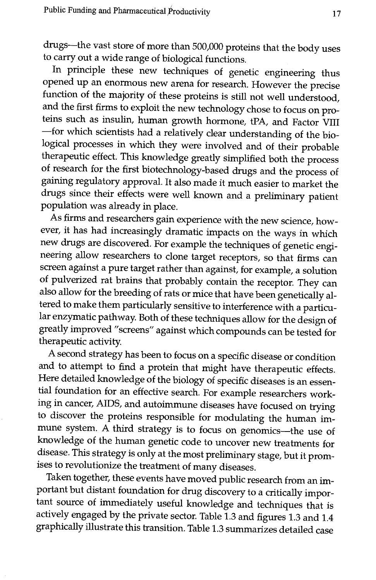drugs-the vast store of more than 500,000 proteins that the body uses to carry out a wide range of biological functions.

In principle these new techniques of genetic engineering thus opened up an enormous new arena for research. However the precise function of the majority of these proteins is still not well understood, and the first firms to exploit the new technology chose to focus on proteins such as insulin, human growth hormone, tPA, and Factor VIII for which scientists had a relatively clear understanding of the biological processes in which they were involved and of their probable<br>therapeutic effect. This knowledge greatly simplified both the process of research for the first biotechnology-based drugs and the process of gaining regulatory approval. It also made it much easier to market the drugs since their effects were well known and a preliminary patient population was already in place.

As firms and researchers gain experience with the new science, however, it has had increasingly dramatic impacts on the ways in which new drugs are discovered. For example the techniques of genetic engineering allow researchers to clone target receptors, so that firms can screen against a pure target rather than against, for example, a solution of pulverized rat brains that probably contain the receptor. They can also allow for the breeding of rats or mice that have been genetically altered to make them particularly sensitive to interference with a particular enzymatic pathway. Both of these techniques allow for the design of greatly improved "screens" against which compounds can be tested for therapeutic activity.

A second strategy has been to focus on a specific disease or condition and to attempt to find a protein that might have therapeutic effects. Here detailed knowledge of the biology of specific diseases is an essential foundation for an effective search. For example researchers working in cancer, AIDS, and autoimmune diseases have focused on trying to discover the proteins responsible for modulating the human immune system. A third strategy is to focus on genomics-the use of knowledge of the human genetic code to uncover new treatments for disease. This strategy is only at the most preliminary stage, but it promises to revolutionize the treatment of many diseases.

Taken together, these events have moved public research from an important but distant foundation for drug discovery to a critically important source of immediately useful knowledge and techniques that is actively engaged by the private sector. Table 1.3 and figures 1.3 and 1.4 graphically illustrate this transition. Table 1.3 summarizes detailed case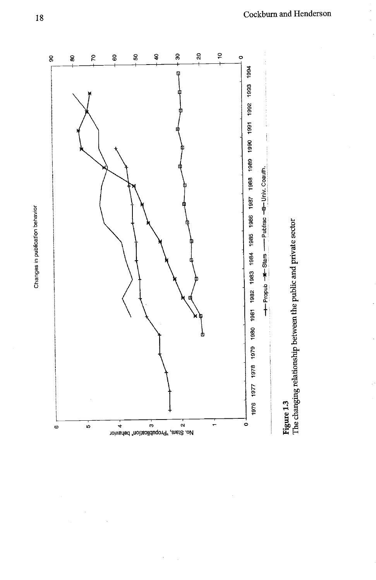18



Cockburn and Henderson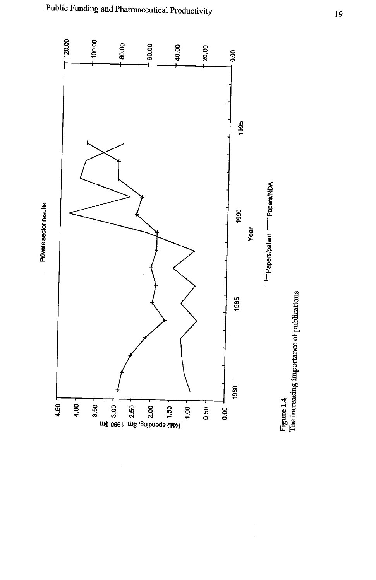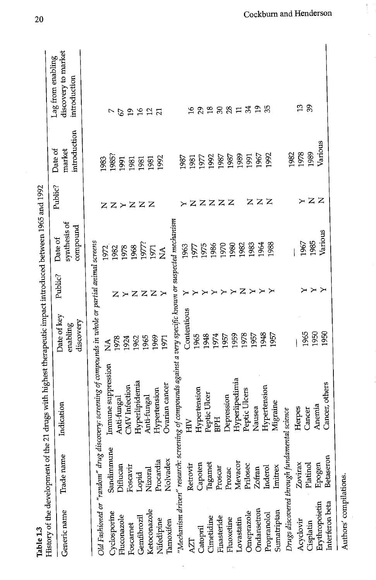| History of the development<br>Table 1.3      |               | of the 21 drugs with highest therapeutic impact introduced between 1965 and 1992                         |                                      |           |                                     |         |                                   |                                                          |
|----------------------------------------------|---------------|----------------------------------------------------------------------------------------------------------|--------------------------------------|-----------|-------------------------------------|---------|-----------------------------------|----------------------------------------------------------|
| Generic name                                 | Trade name    | Indication                                                                                               | Date of key<br>discovery<br>enabling | Public?   | synthesis of<br>compound<br>Date of | Public? | introduction<br>Date of<br>market | discovery to market<br>Lag from enabling<br>introduction |
|                                              |               | Old Fashioned or "random" drug discovery: screening of compounds in whole or partial animal screens      |                                      |           |                                     |         |                                   |                                                          |
|                                              |               |                                                                                                          | Á                                    |           | 1972                                |         | 1983                              |                                                          |
| Cyclosporine                                 | Sandimmune    | Immune suppression                                                                                       |                                      |           | 1982                                |         | 1985?                             | Ņ                                                        |
| Fluconazole                                  | Diflucan      | Anti-fungal                                                                                              | 1978                                 | $Z \succ$ | 1978                                |         | 1991                              | 2                                                        |
| Foscarnet                                    | Foscavir      | CMV Infection                                                                                            | 1924                                 |           | 1968                                |         | 1981                              | $\overline{19}$                                          |
| Gemfibrozil                                  | Lopid         | Hyperlipidemia                                                                                           | 1962                                 | ZZ        | 1977?                               | スストススス  | 1981                              | 16                                                       |
| Ketoconazole                                 | Nizoral       | Anti-fungal                                                                                              | 1965                                 |           | 1971                                |         | 1981                              | $\frac{2}{21}$                                           |
| Nifedipine                                   | Procardia     | Hypertension                                                                                             | 1969<br>1971                         | $Z \succ$ | $\tilde{\mathbf{z}}$                |         | 1992                              |                                                          |
| Tamoxifen                                    | Nolvadex      | Ovarian cancer                                                                                           |                                      |           |                                     |         |                                   |                                                          |
|                                              |               | "Mechanism driven" research: screening of compounds against a very specific known or suspected mechanism |                                      |           |                                     |         |                                   |                                                          |
|                                              |               | ĚЕ                                                                                                       | Contentious                          | ≻         | 1963                                |         | 1987                              |                                                          |
| <b>AZT</b>                                   | Retrovir      |                                                                                                          | 1965                                 |           | 1977                                |         | 1981                              |                                                          |
| Catopril                                     | Capoten       | Hypertension                                                                                             | 1948                                 |           | 1975                                | zzzzz   | 1977                              | $^{29}$                                                  |
| Cimetidine                                   | Tagamet       | Peptic Ulcer                                                                                             |                                      |           | 1986                                |         | 1992                              | $^{18}$                                                  |
| Finasteride                                  | Proscar       | <b>BPH</b>                                                                                               | 1974                                 |           | 1970                                |         | 1987                              | $30\,$                                                   |
| Fluoxetine                                   | Prozac        | Depression                                                                                               | 1957                                 |           |                                     |         | 1987                              | 28                                                       |
|                                              | Mevaco        | Hyperlipedimia                                                                                           | 1959                                 | ≻         | 1980                                |         | 1989                              | $\mathbf{H}$                                             |
| Lovastatin                                   | Prilosec      | Peptic Ulcers                                                                                            | 1978                                 | Z         | 1982                                |         |                                   |                                                          |
| Omeprazole                                   |               |                                                                                                          | 1957                                 | ≻         | 1983                                | z       | 1991                              | 34                                                       |
| Ondansetron                                  | <b>Zofran</b> | Nausea                                                                                                   | 1948                                 | ≻         | 1964                                |         | 1967                              | $\overline{1}$                                           |
| Propranolol                                  | Inderol       | Hypertension                                                                                             | 1957                                 |           | 1988                                | ZZ      | 1992                              | 35                                                       |
| Sumatriptan                                  | Imitrex       | Migraine                                                                                                 |                                      |           |                                     |         |                                   |                                                          |
| Drugs discovered through fundamental science |               |                                                                                                          |                                      |           |                                     |         | 1982                              |                                                          |
| Acyclovir                                    | Zovirax       | Herpes                                                                                                   |                                      |           |                                     | ≻       | 1978                              | $\mathfrak{a}$                                           |
| Cisplatin                                    | Platinol      | Cancer                                                                                                   | 1965                                 | ≻         | 1967                                |         | 1989                              | 39                                                       |
|                                              |               | Anemia                                                                                                   | 1950                                 | ≻         | 1985                                | ZZ      |                                   |                                                          |
| Erythropoietin                               | Epogen        | Cancer, others                                                                                           | 1950                                 | ≻         | Various                             |         | Various                           |                                                          |
| Interferon beta                              | Betaseron     |                                                                                                          |                                      |           |                                     |         |                                   |                                                          |
| Authors' compilations.                       |               |                                                                                                          |                                      |           |                                     |         |                                   |                                                          |
|                                              |               |                                                                                                          |                                      |           |                                     |         |                                   |                                                          |
|                                              |               |                                                                                                          |                                      |           |                                     |         |                                   |                                                          |
|                                              |               |                                                                                                          |                                      |           |                                     |         |                                   |                                                          |
|                                              |               |                                                                                                          |                                      |           |                                     |         |                                   |                                                          |

à.

 $20\,$ 

ţ.

l.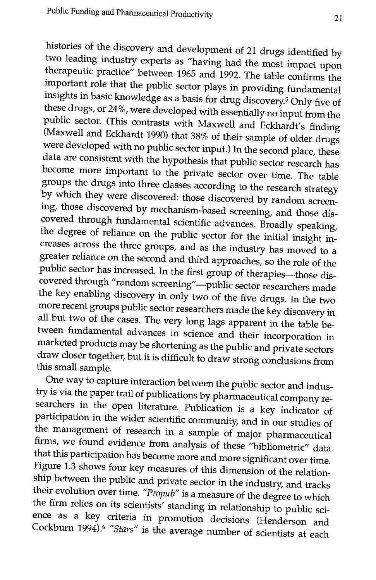histories of the discovery and development of 21 drugs identified by two leading industry experts as "having had the most impact upon therapeutic practice" between 1965 and 1992. The table confirms the important role that the public sector plays in providing fundamental insights in basic knowledge as a basis for drug discovery.<sup>5</sup> Only five of these drugs, or 24%, were developed with essentially no input from the public sector. (This contrasts with Maxwell and Eckhardt's finding (Maxwell and Eckhardt 1990) that  $38\%$  of their sample of older drugs were develop by which they were discovered: those discovered by random screening, those discovered by mechanism-based screening, and those discovered through fundamental scientific advances. Broadly speaking, the degree of reliance on marketed products may be shortening as the public and private sectors<br>draw closer together, but it is difficult to draw strong conclusions from<br>this small sample.<br>One way to capture interaction between the public sector an

try is via the paper trail of publications by pharmaceutical company re-<br>searchers in the open literature. Publication is a key indicator of<br>participation in the wider scientific community, and in our studies of<br>the manage Figure 1.3 shows four key measures of this dimension of the relationship between the public and private sector in the industry, and tracks their evolution over time. "Propub" is a measure of the degree to which the firm relies on its scientists' standing in relationship to public science as a key criteria in promotion decisions (Henderson and Cockburn 1994).<sup>6</sup> "Stars" is the average number of scientists at each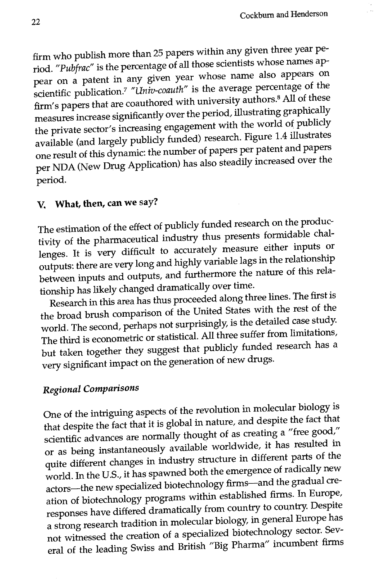firm who publish more than 25 papers within any given three year period. "Pubfrac" is the percentage of all those scientists whose names appear on a patent in any given year whose name also appears on scientific publication.7 "Univ-coauth" is the average percentage of the firm's papers that are coauthored with university authors.8 All of these measures increase significantly over the period, illustrating graphically the private sector's increasing engagement with the world of publicly available (and largely publicly funded) research. Figure 1.4 illustrates one result of this dynamic: the number of papers per patent and papers per NDA (New Drug Application) has also steadily increased over the period.

## V. What, then, can we say?

The estimation of the effect of publicly funded research on the productivity of the pharmaceutical industry thus presents formidable challenges. It is very difficult to accurately measure either inputs or outputs: there are very long and highly variable lags in the relationship between inputs and outputs, and furthermore the nature of this relationship has likely changed dramatically over time.

Research in this area has thus proceeded along three lines. The first is the broad brush comparison of the United States with the rest of the world. The second, perhaps not surprisingly is the detailed case study. The third is econometric or statistical. All three suffer from limitations, but taken together they suggest that publicly funded research has a very significant impact on the generation of new drugs.

## Regional Comparisons

One of the intriguing aspects of the revolution in molecular biology is that despite the fact that it is global in nature, and despite the fact that scientific advances are normally thought of as creating a "free good," or as being instantaneously available worldwide, it has resulted in quite different changes in industry structure in different parts of the world. In the U.S., it has spawned both the emergence of radically new actors--the new specialized biotechnology firms--and the gradual creation of biotechnology programs within established firms. In Europe, responses have differed dramatically from country to country. Despite a strong research tradition in molecular biology, in general Europe has not witnessed the creation of a specialized biotechnology sector. Several of the leading Swiss and British "Big Pharma" incumbent firms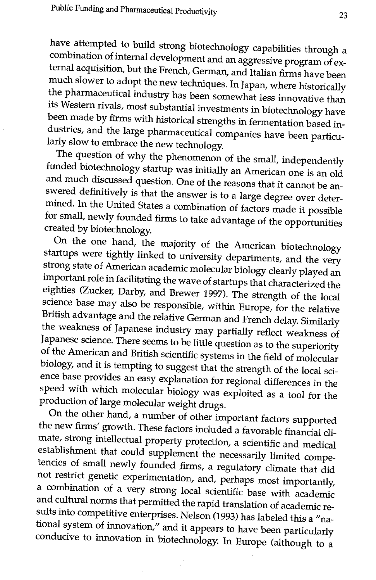have attempted to build strong biotechnology capabilities through a<br>combination of internal development and an aggressive program of ex-<br>ternal acquisition, but the French, German, and Italian firms have been<br>much slower t

funded biotechnology startup was initially an American one is an old<br>and much discussed question. One of the reasons that it cannot be an-<br>swered definitively is that the answer is to a large degree over deter-<br>mined. In t

On the one hand, the majority of the American biotechnology<br>startups were rightly linked to university departments, and the very<br>startups were dightly linked to university departments, and the very<br>strong state of America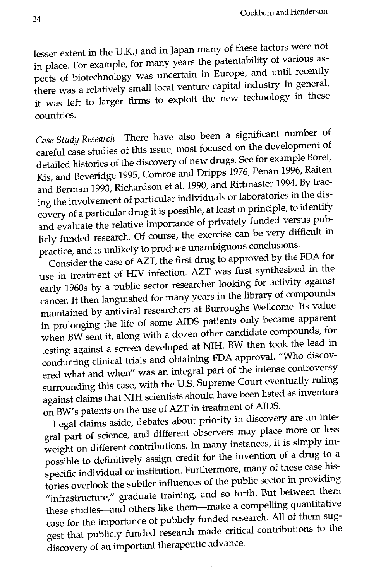lesser extent in the U.K.) and in Japan many of these factors were not in place. For example, for many years the patentability of various aspects of biotechnology was uncertain in Europe, and until recently there was a relatively small local venture capital industry In general, it was left to larger firms to exploit the new technology in these countries.

Case Study Research There have also been a significant number of careful case studies of this issue, most focused on the development of detailed histories of the discovery of new drugs. See for example Borel, Kis, and Beveridge 1995, Comroe and Dripps 1976, Penan 1996, Raiten and Berman 1993, Richardson et al. 1990, and Rittmaster 1994. By tracing the involvement of particular individuals or laboratories in the discovery of a particular drug it is possible, at least in principle, to identify and evaluate the relative importance of privately funded versus publicly funded research. Of course, the exercise can be very difficult in practice, and is unlikely to produce unambiguous conclusions.

Consider the case of AZT, the first drug to approved by the FDA for use in treatment of HIV infection. AZT was first synthesized in the early 1960s by a public sector researcher looking for activity against cancer. It then languished for many years in the library of compounds maintained by antiviral researchers at Burroughs Welicome. Its value in prolonging the life of some AIDS patients only became apparent when BW sent it, along with a dozen other candidate compounds, for testing against a screen developed at NIH. BW then took the lead in conducting clinical trials and obtaining FDA approval. "Who discovered what and when" was an integral part of the intense controversy surrounding this case, with the U.S. Supreme Court eventually ruling against claims that NIH scientists should have been listed as inventors on BW's patents on the use of AZT in treatment of AIDS.

Legal claims aside, debates about priority in discovery are an integral part of science, and different observers may place more or less weight on different contributions. In many instances, it is simply impossible to definitively assign credit for the invention of a drug to a specific individual or institution. Furthermore, many of these case histories overlook the subtler influences of the public sector in providing "infrastructure," graduate training, and so forth. But between them these studies—and others like them—make a compelling quantitative case for the importance of publicly funded research. All of them suggest that publicly funded research made critical contributions to the discovery of an important therapeutic advance.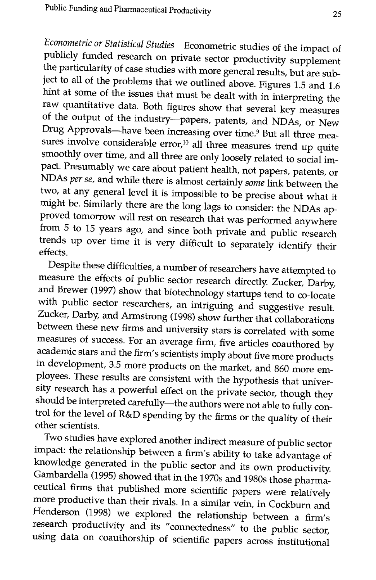Econometric or Statistical Studies Econometric studies of the impact of publicly funded research on private sector productivity supplement the particularity of case studies with more general results, but are subject to all of the problems that we outlined above. Figures 1.5 and 1.6 hint at some of the issues that must be dealt with in interpreting the raw quantitative data. Both figures show that several key measures of the output of the industry--papers, patents, and NDAs, or New Drug Approvals—have been increasing over time.<sup>9</sup> But all three measures involve considerable error,<sup>10</sup> all three measures trend up quite smoothly over time, and all three are only loosely related to social impact. Presumably we care about patient health, not papers, patents, or NDAs *per se*, and while there is almost certainly *some* link between the two, at any general level it is impossible to be precise about what it might trends up over time it is very difficult to separately identify their effects.

Despite these difficulties, a number of researchers have attempted to measure the effects of public sector research directly. Zucker, Darby, and Brewer (1997) show that biotechnology startups tend to co-locate<br>with public sector researchers, an intriguing and suggestive result.<br>Zucker, Darby, and Armstrong (1998) show further that collaborations<br>between these n academic stars and the firm's scientists imply about five more products<br>in development, 3.5 more products on the market, and 860 more employees. These results are consistent with the hypothesis that univer-<br>sity research has a powerful effect on the private sector, though they should be interpreted carefully-the authors were not able to fully control for the level of R&D spending by the firms or the quality of their other scientists.

Two studies have explored another indirect measure of public sector impact: the relationship between a firm's ability to take advantage of knowledge generated in the public sector and its own productivity. ceutical firms that published more scientific papers were relatively<br>more productive than their rivals. In a similar vein, in Cockburn and<br>Henderson (1998) we explored the relationship between a firm's<br>research productivit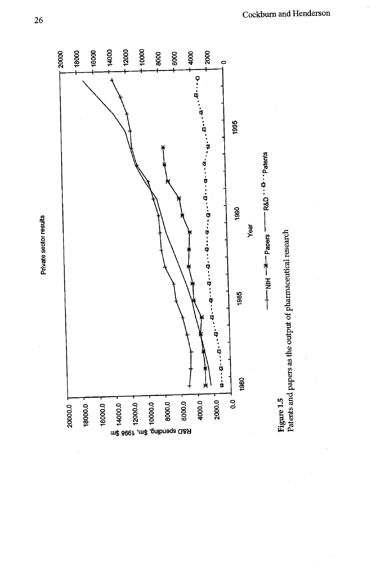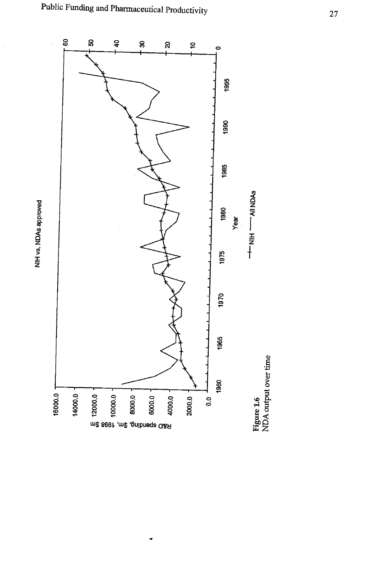

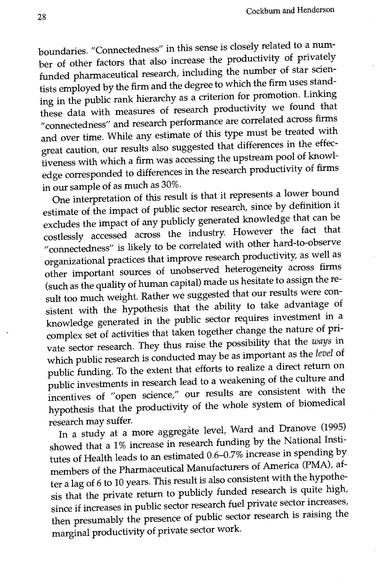boundaries. "Connectedness" in this sense is closely related to a number of other factors that also increase the productivity of privately funded pharmaceutical research, including the number of star scientists employed by the firm and the degree to which the firm uses standing in the public rank hierarchy as a criterion for promotion. Linking these data with measures of research productivity we found that "connectedness" and research performance are correlated across firms and over time. While any estimate of this type must be treated with great caution, our results also suggested that differences in the effectiveness with which a firm was accessing the upstream pooi of knowledge corresponded to differences in the research productivity of firms in our sample of as much as 30%.

One interpretation of this result is that it represents a lower bound estimate of the impact of public sector research, since by definition it excludes the impact of any publicly generated knowledge that can be costlessly accessed across the industry. However the fact that "connectedness" is likely to be correlated with other hard-to-observe organizational practices that improve research productivity, as well as other important sources of unobserved heterogeneity across firms (such as the quality of human capital) made us hesitate to assign the result too much weight. Rather we suggested that our results were consistent with the hypothesis that the ability to take advantage of knowledge generated in the public sector requires investment in a complex set of activities that taken together change the nature of private sector research. They thus raise the possibility that the ways in which public research is conducted may be as important as the level of public funding. To the extent that efforts to realize a direct return on public investments in research lead to a weakening of the culture and incentives of "open science," our results are consistent with the hypothesis that the productivity of the whole system of biomedical research may suffer.

In a study at a more aggregate level, Ward and Dranove (1995) showed that a 1% increase in research funding by the National Institutes of Health leads to an estimated 0.6-0.7% increase in spending by members of the Pharmaceutical Manufacturers of America (PMA), after a lag of 6 to 10 years. This result is also consistent with the hypothesis that the private return to publicly funded research is quite high, since if increases in public sector research fuel private sector increases, then presumably the presence of public sector research is raising the marginal productivity of private sector work.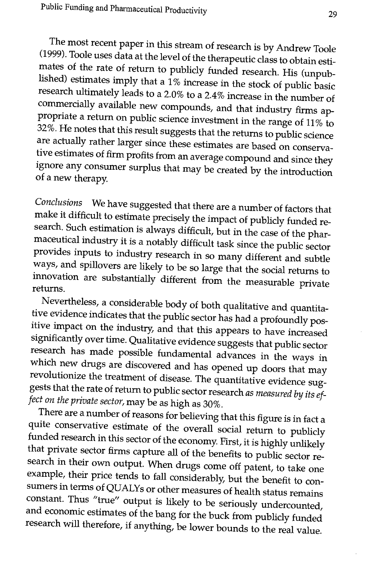The most recent paper in this stream of research is by Andrew Toole (1999). Toole uses data at the level of the therapeutic class to obtain estimates of the rate of return to publicly funded research. His (unpublished) es

Conclusions We have suggested that there are a number of factors that make it difficult to estimate precisely the impact of publicly funded research. Such estimation is always difficult, but in the case of the pharmaceutic

Nevertheless, a considerable body of both qualitative and quantitative evidence indicates that the public sector has had a profoundly positive impact on the industry, and that this appears to have increased significantly o research has made possible fundamental advances in the ways in which new drugs are discovered and has opened up doors that may revolutionize the treatment of disease. The quantitative evidence suggests that the rate of return to public sector research as measured by its effect on the private sector, may be as high as 30%.<br>There are a number of reasons for believing that this figure is in fact a

quite conservative estimate of the overall social return to publicly<br>funded research in this sector of the economy. First, it is highly unlikely<br>that private sector firms capture all of the benefits to public sector re-<br>se research will therefore, if anything, be lower bounds to the real value.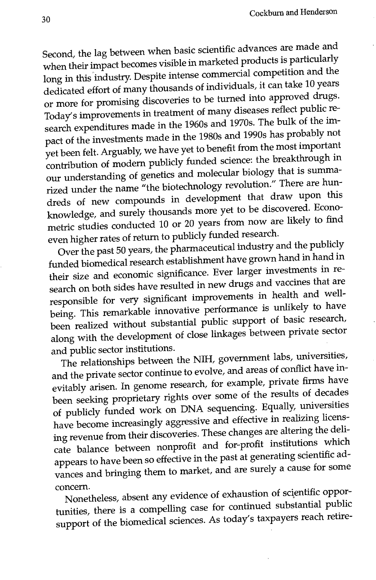Second, the lag between when basic scientific advances are made and when their impact becomes visible in marketed products is particularly long in this industry. Despite intense commercial competition and the dedicated effort of many thousands of individuals, it can take 10 years or more for promising discoveries to be turned into approved drugs. Today's improvements in treatment of many diseases reflect public research expenditures made in the 1960s and 1970s. The bulk of the impact of the investments made in the 1980s and 1990s has probably not yet been felt. Arguably, we have yet to benefit from the most important contribution of modern publicly funded science: the breakthrough in our understanding of genetics and molecular biology that is summarized under the name "the biotechnology revolution." There are hundreds of new compounds in development that draw upon this knowledge, and surely thousands more yet to be discovered. Econometric studies conducted 10 or 20 years from now are likely to find even higher rates of return to publicly funded research.

Over the past 50 years, the pharmaceutical industry and the publicly funded biomedical research establishment have grown hand in hand in their size and economic significance. Ever larger investments in research on both sides have resulted in new drugs and vaccines that are responsible for very significant improvements in health and wellbeing. This remarkable innovative performance is unlikely to have been realized without substantial public support of basic research, along with the development of close linkages between private sector and public sector institutions.

The relationships between the NIH, government labs, universities, and the private sector continue to evolve, and areas of conflict have inevitably arisen. In genome research, for example, private firms have been seeking proprietary rights over some of the results of decades of publicly funded work on DNA sequencing. Equally, universities have become increasingly aggressive and effective in realizing licensing revenue from their discoveries. These changes are altering the delicate balance between nonprofit and for-profit institutions which appears to have been so effective in the past at generating scientific advances and bringing them to market, and are surely a cause for some

concern. Nonetheless, absent any evidence of exhaustion of scientific opportunities, there is a compelling case for continued substantial public support of the biomedical sciences. As today's taxpayers reach retire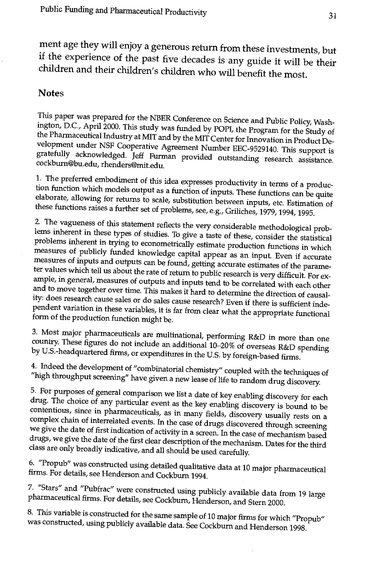ment age they will enjoy a generous return from these investments, but if the experience of the past five decades is any guide it will be their children and their children's children who will benefit the most.

### **Notes**

This paper was prepared for the NBER Conference on Science and Public Policy, Washington, D.C., April 2000. This study was funded by POPI, the Program for the Study of the Pharmaceutical Industry at MIT and by the MIT Cent

1. The preferred embodiment of this idea expresses productivity in terms of a production function which models output as a function of inputs. These functions can be quite elaborate, allowing for returns to scale, substit

lems inherent in these types of studies. To give a taste of these, consider the statistical problems inherent in trying to econometrically estimate production functions in which measures of publicly funded knowledge capit

3. Most major pharmaceuticals are multinational, performing R&D in more than one country. These figures do not include an additional 10–20% of overseas R&D spending by U.S.-headquartered firms, or expenditures in the U.S.

Indeed the development of "combinatorial chemistry" coupled with the techniques of "high throughput screening" have given a new lease of life to random drug discovery.

drug. The choice of any particular event as the key enabling discovery is bound to be contentious, since in pharmaceuticals, as in many fields, discovery usually rests on a complex chain of interrelated events. In the case drugs, we give the date of the first clear description of the mechanism. Dates for the third class are only broadly indicative, and all should be used carefully.

6. "Propub" was constructed using detailed qualitative data at 10 major pharmaceutical firms. For details, see Henderson and Cockburn 1994.

"Stars" and "Pubfrac" were constructed using publicly available data from 19 large pharmaceutical firms. For details, see Cockburn, Henderson, and Stern 2000.

This variable is constructed for the same sample of 10 major firms for which "Propub" was constructed, using publicly available data. See Cockburn and Henderson 1998.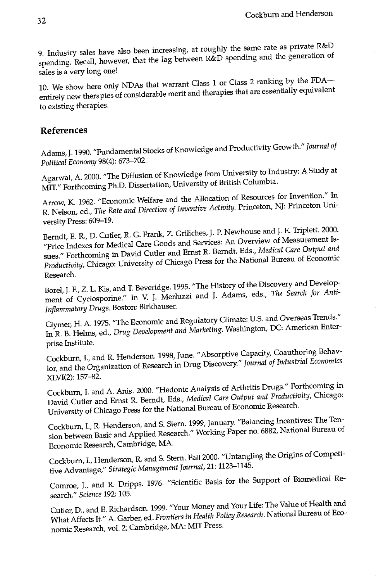Industry sales have also been increasing, at roughly the same rate as private R&D spending. Recall, however, that the lag between R&D spending and the generation of sales is a very long one!

We show here only NDAs that warrant Class I or Class 2 ranking by the FDA entirely new therapies of considerable merit and therapies that are essentially equivalent to existing therapies.

#### References

Adams, J. 1990. "Fundamental Stocks of Knowledge and Productivity Growth." Journal of Political Economy 98(4): 673-702.

Agarwal, A. 2000. "The Diffusion of Knowledge from University to Industry: A Study at MIT." Forthcoming Ph.D. Dissertation, University of British Columbia.

Arrow, K. 1962. "Economic Welfare and the Allocation of Resources for Invention." In R. Nelson, ed., The Rate and Direction of Inventive Activity. Princeton, NJ: Princeton University Press: 609-19.

Berndt, E. R., D. Cutler, R. G. Frank, Z. Griliches, J. P. Newhouse and J. E. Triplett. 2000. "Price Indexes for Medical Care Goods and Services: An Overview of Measurement Issues." Forthcoming in David Cutler and Ernst R. Berndt, Eds., Medical Care Output and Productivity, Chicago: University of Chicago Press for the National Bureau of Economic Research.

Borel, J. F., Z. L. Kis, and T. Beveridge. 1995. "The History of the Discovery and Development of Cyclosporine." In V. J. Merluzzi and J. Adams, eds., The Search for Anti-Inflammatory Drugs. Boston: Birkhauser.

Clymer, H. A. 1975. "The Economic and Regulatory Climate: U.S. and Overseas Trends." In R. B. Helms, ed., Drug Development and Marketing. Washington, DC: American Enterprise Institute.

Cockburn, I., and R. Henderson. 1998, June. "Absorptive Capacity, Coauthoring Behavior, and the Organization of Research in Drug Discovery." Journal of Industrial Economics XLVI(2): 157-82.

Cockburn, I. and A. Anis. 2000. "Hedonic Analysis of Arthritis Drugs." Forthcoming in David Cutler and Ernst R. Berndt, Eds., Medical Care Output and Productivity, Chicago: University of Chicago Press for the National Bureau of Economic Research.

Cockburn, I., R. Henderson, and S. Stern. 1999, January. "Balancing Incentives: The Tension between Basic and Applied Research." Working Paper no. 6882, National Bureau of Economic Research, Cambridge, MA.

Cockburn, I., Henderson, R. and S. Stern. Fall 2000. "Untangling the Origins of Competitive Advantage," Strategic Management Journal, 21: 1123-1145.

Comroe, J., and R. Dripps. 1976. "Scientific Basis for the Support of Biomedical Research." Science 192: 105.

Cutler, D., and E. Richardson. 1999. "Your Money and Your Life: The Value of Health and What Affects It." A. Garber, ed. Frontiers in Health Policy Research. National Bureau of Economic Research, vol. 2, Cambridge, MA: MIT Press.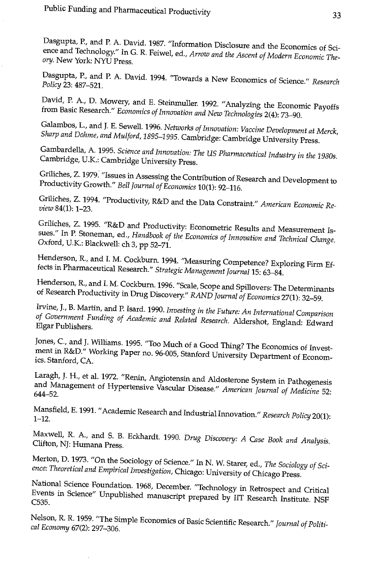Dasgupta, P., and P. A. David. 1987. "Information Disclosure and the Economics of Science and Technology." In G. R. Feiwel, ed., Arrow and the Ascent of Modern Economic The- ory. New York: NYU Press.

Dasgupta, P., and P. A. David. 1994. "Towards a New Economics of Science." Research Policy 23: 487-521.

David, P. A., D. Mowery, and E. Steinmuller. 1992. "Analyzing the Economic Payoffs<br>from Basic Research." Economics of Innovation and New Technologies 2(4): 73–90.<br>Galambos, L., and J. E. Sewell. 1996. Networks of Innovatio

Sharp and Dohme, and Mulford, 1895-1995. Cambridge: Cambridge University Press.

Gambardella, A. 1995. Science and Innovation: The US Pharmaceutical Industry in the 1980s. Cambridge, U.K.: Cambridge University Press.

Griliches, Z. 1979. "Issues in Assessing the Contribution of Research and Development to Productivity Growth." Bell Journal of Economics 10(1): 92-116.

Griliches, Z. 1994. "Productivity, R&D and the Data Constraint." American Economic Re-<br>view 84(1): 1-23.

Griliches, Z. 1995. "R&D and Productivity: Econometric Results and Measurement Issues." In P. Stoneman, ed., Handbook of the Economics of Innovation and Technical Change. Oxford, U.K.: Blackwell: ch 3, pp 52-71.

Henderson, R., and I. M. Cockburn. 1994. "Measuring Competence? Exploring Firm Effects in Pharmaceutical Research." Strategic Management Journal 15: 63–84.<br>Henderson, R., and I. M. Cockburn. 1996. "Scale, Scope and Spillov

of Research Productivity in Drug Discovery." RAND Journal of Economics 27(1): 32–59.<br>Irvine, J., B. Martin, and P. Isard. 1990. Investing in the Future: An International Comparison of Government Funding of Academic and Related Research. Aldershot, England: Edward<br>Elgar Publishers.

Jones, C., and J. Williams. 1995. "Too Much of a Good Thing? The Economics of Invest- ment in R&D." Working Paper no. 96-005, Stanford University Department of Econom- ics. Stanford, CA.

Laragh, J. H., et al. 1972. "Renin, Angiotensin and Aldosterone System in Pathogenesis and Management of Hypertensive Vascular Disease." American Journal of Medicine 52: 644-52.

Mansfield, E. 1991. "Academic Research and Industrial Innovation." Research Policy 20(1): 1-12.

Maxwell, R. A., and S. B. Eckhardt. 1990. Drug Discovery: A Case Book and Analysis. Clifton, NJ: Humana Press.

Merton, D. 1973. "On the Sociology of Science." In N. W. Starer, ed., The Sociology of Science: Theoretical and Empirical Investigation, Chicago: University of Chicago Press.

National Science Foundation. 1968, December. "Technology in Retrospect and Critical<br>Events in Science" Unpublished manuscript prepared by IIT Research Institute. NSF<br>C535. Events in Science" Unpublished manuscript prepared by IIT Research Institute. NSF

Nelson, R. R. 1959. "The Simple Economics of Basic Scientific Research." Journal of Politi-<br>cal Economy 67(2): 297-306.